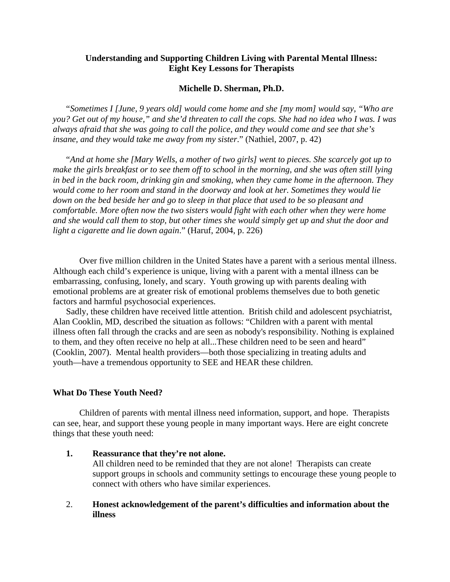### **Understanding and Supporting Children Living with Parental Mental Illness: Eight Key Lessons for Therapists**

#### **Michelle D. Sherman, Ph.D.**

"*Sometimes I [June, 9 years old] would come home and she [my mom] would say, "Who are you? Get out of my house," and she'd threaten to call the cops. She had no idea who I was. I was always afraid that she was going to call the police, and they would come and see that she's insane, and they would take me away from my sister*." (Nathiel, 2007, p. 42)

"*And at home she [Mary Wells, a mother of two girls] went to pieces. She scarcely got up to make the girls breakfast or to see them off to school in the morning, and she was often still lying in bed in the back room, drinking gin and smoking, when they came home in the afternoon. They would come to her room and stand in the doorway and look at her. Sometimes they would lie down on the bed beside her and go to sleep in that place that used to be so pleasant and comfortable. More often now the two sisters would fight with each other when they were home and she would call them to stop, but other times she would simply get up and shut the door and light a cigarette and lie down again*." (Haruf, 2004, p. 226)

Over five million children in the United States have a parent with a serious mental illness. Although each child's experience is unique, living with a parent with a mental illness can be embarrassing, confusing, lonely, and scary. Youth growing up with parents dealing with emotional problems are at greater risk of emotional problems themselves due to both genetic factors and harmful psychosocial experiences.

Sadly, these children have received little attention. British child and adolescent psychiatrist, Alan Cooklin, MD, described the situation as follows: "Children with a parent with mental illness often fall through the cracks and are seen as nobody's responsibility. Nothing is explained to them, and they often receive no help at all...These children need to be seen and heard" (Cooklin, 2007). Mental health providers—both those specializing in treating adults and youth—have a tremendous opportunity to SEE and HEAR these children.

#### **What Do These Youth Need?**

Children of parents with mental illness need information, support, and hope. Therapists can see, hear, and support these young people in many important ways. Here are eight concrete things that these youth need:

- **1. Reassurance that they're not alone.**  All children need to be reminded that they are not alone! Therapists can create support groups in schools and community settings to encourage these young people to connect with others who have similar experiences.
- 2. **Honest acknowledgement of the parent's difficulties and information about the illness**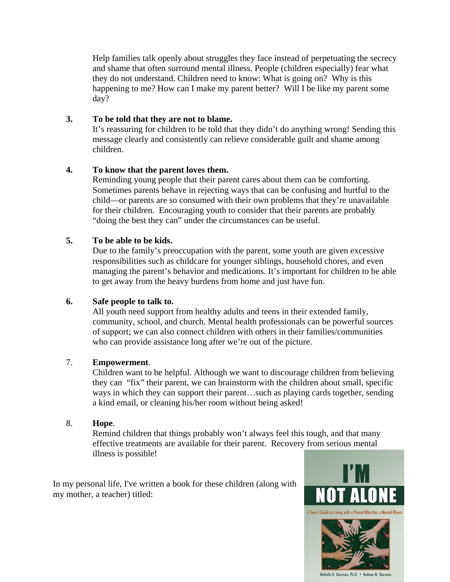Help families talk openly about struggles they face instead of perpetuating the secrecy and shame that often surround mental illness. People (children especially) fear what they do not understand. Children need to know: What is going on? Why is this happening to me? How can I make my parent better? Will I be like my parent some day?

## **3. To be told that they are not to blame.**

It's reassuring for children to be told that they didn't do anything wrong! Sending this message clearly and consistently can relieve considerable guilt and shame among children.

## **4. To know that the parent loves them.**

Reminding young people that their parent cares about them can be comforting. Sometimes parents behave in rejecting ways that can be confusing and hurtful to the child—or parents are so consumed with their own problems that they're unavailable for their children. Encouraging youth to consider that their parents are probably "doing the best they can" under the circumstances can be useful.

# **5. To be able to be kids.**

Due to the family's preoccupation with the parent, some youth are given excessive responsibilities such as childcare for younger siblings, household chores, and even managing the parent's behavior and medications. It's important for children to be able to get away from the heavy burdens from home and just have fun.

### **6. Safe people to talk to.**

All youth need support from healthy adults and teens in their extended family, community, school, and church. Mental health professionals can be powerful sources of support; we can also connect children with others in their families/communities who can provide assistance long after we're out of the picture.

### 7. **Empowerment**.

Children want to be helpful. Although we want to discourage children from believing they can "fix" their parent, we can brainstorm with the children about small, specific ways in which they can support their parent…such as playing cards together, sending a kind email, or cleaning his/her room without being asked!

### 8. **Hope**.

Remind children that things probably won't always feel this tough, and that many effective treatments are available for their parent. Recovery from serious mental illness is possible!

In my personal life, I've written a book for these children (along with my mother, a teacher) titled: